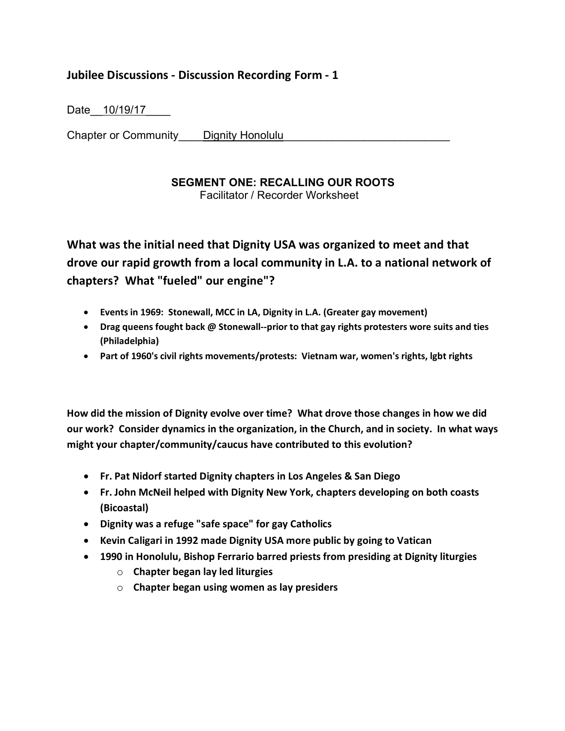## **Jubilee Discussions - Discussion Recording Form - 1**

Date<sub>\_\_\_</sub>10/19/17

Chapter or Community Dignity Honolulu

## **SEGMENT ONE: RECALLING OUR ROOTS**

Facilitator / Recorder Worksheet

**What was the initial need that Dignity USA was organized to meet and that drove our rapid growth from a local community in L.A. to a national network of chapters? What "fueled" our engine"?**

- **Events in 1969: Stonewall, MCC in LA, Dignity in L.A. (Greater gay movement)**
- **Drag queens fought back @ Stonewall--prior to that gay rights protesters wore suits and ties (Philadelphia)**
- **Part of 1960's civil rights movements/protests: Vietnam war, women's rights, lgbt rights**

**How did the mission of Dignity evolve over time? What drove those changes in how we did our work? Consider dynamics in the organization, in the Church, and in society. In what ways might your chapter/community/caucus have contributed to this evolution?**

- **Fr. Pat Nidorf started Dignity chapters in Los Angeles & San Diego**
- **Fr. John McNeil helped with Dignity New York, chapters developing on both coasts (Bicoastal)**
- **Dignity was a refuge "safe space" for gay Catholics**
- **Kevin Caligari in 1992 made Dignity USA more public by going to Vatican**
- **1990 in Honolulu, Bishop Ferrario barred priests from presiding at Dignity liturgies**
	- o **Chapter began lay led liturgies**
	- o **Chapter began using women as lay presiders**